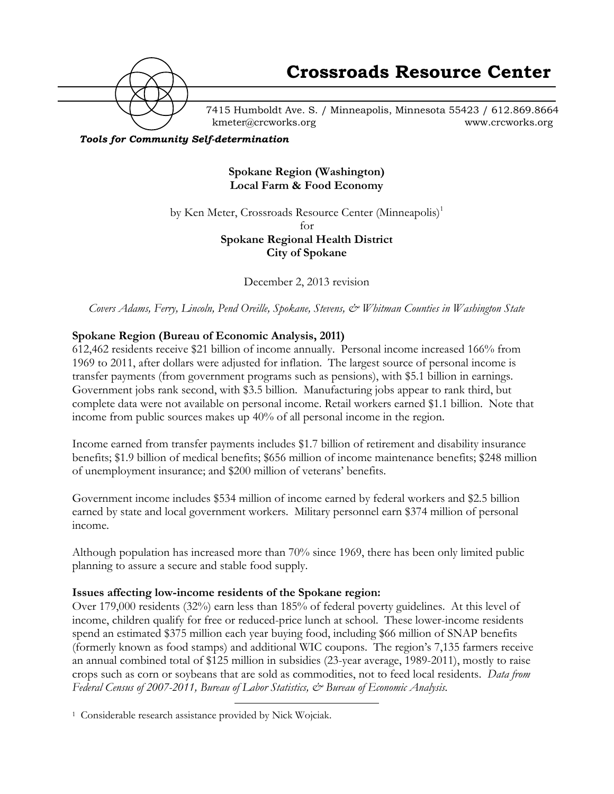

7415 Humboldt Ave. S. / Minneapolis, Minnesota 55423 / 612.869.8664 kmeter@crcworks.org www.crcworks.org

*Tools for Community Self-determination*

**Spokane Region (Washington) Local Farm & Food Economy**

by Ken Meter, Crossroads Resource Center (Minneapolis)<sup>1</sup> for **Spokane Regional Health District**

**City of Spokane**

December 2, 2013 revision

*Covers Adams, Ferry, Lincoln, Pend Oreille, Spokane, Stevens, & Whitman Counties in Washington State*

### **Spokane Region (Bureau of Economic Analysis, 2011)**

612,462 residents receive \$21 billion of income annually. Personal income increased 166% from 1969 to 2011, after dollars were adjusted for inflation. The largest source of personal income is transfer payments (from government programs such as pensions), with \$5.1 billion in earnings. Government jobs rank second, with \$3.5 billion. Manufacturing jobs appear to rank third, but complete data were not available on personal income. Retail workers earned \$1.1 billion. Note that income from public sources makes up 40% of all personal income in the region.

Income earned from transfer payments includes \$1.7 billion of retirement and disability insurance benefits; \$1.9 billion of medical benefits; \$656 million of income maintenance benefits; \$248 million of unemployment insurance; and \$200 million of veterans' benefits.

Government income includes \$534 million of income earned by federal workers and \$2.5 billion earned by state and local government workers. Military personnel earn \$374 million of personal income.

Although population has increased more than 70% since 1969, there has been only limited public planning to assure a secure and stable food supply.

#### **Issues affecting low-income residents of the Spokane region:**

Over 179,000 residents (32%) earn less than 185% of federal poverty guidelines. At this level of income, children qualify for free or reduced-price lunch at school. These lower-income residents spend an estimated \$375 million each year buying food, including \$66 million of SNAP benefits (formerly known as food stamps) and additional WIC coupons. The region's 7,135 farmers receive an annual combined total of \$125 million in subsidies (23-year average, 1989-2011), mostly to raise crops such as corn or soybeans that are sold as commodities, not to feed local residents. *Data from Federal Census of 2007-2011, Bureau of Labor Statistics, & Bureau of Economic Analysis.*

 <sup>1</sup> Considerable research assistance provided by Nick Wojciak.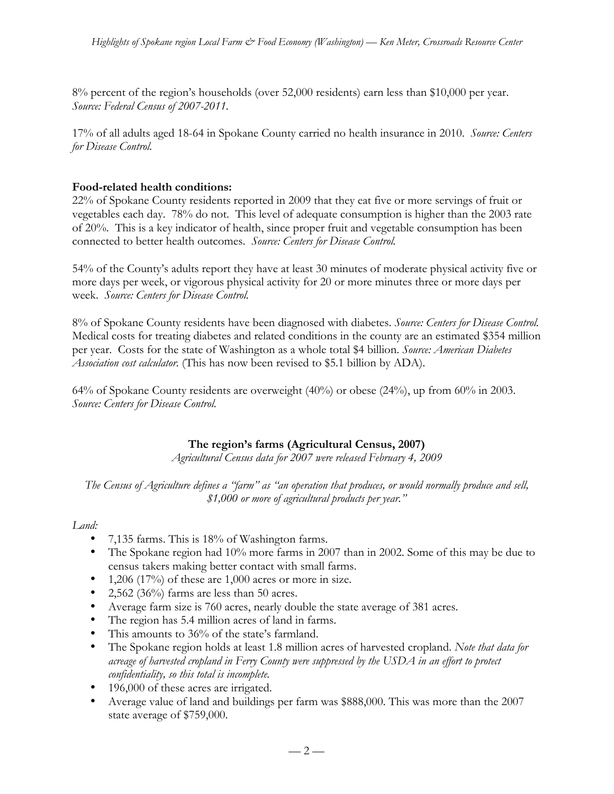8% percent of the region's households (over 52,000 residents) earn less than \$10,000 per year. *Source: Federal Census of 2007-2011.*

17% of all adults aged 18-64 in Spokane County carried no health insurance in 2010. *Source: Centers for Disease Control.*

# **Food-related health conditions:**

22% of Spokane County residents reported in 2009 that they eat five or more servings of fruit or vegetables each day. 78% do not. This level of adequate consumption is higher than the 2003 rate of 20%. This is a key indicator of health, since proper fruit and vegetable consumption has been connected to better health outcomes. *Source: Centers for Disease Control.*

54% of the County's adults report they have at least 30 minutes of moderate physical activity five or more days per week, or vigorous physical activity for 20 or more minutes three or more days per week. *Source: Centers for Disease Control.*

8% of Spokane County residents have been diagnosed with diabetes. *Source: Centers for Disease Control.* Medical costs for treating diabetes and related conditions in the county are an estimated \$354 million per year. Costs for the state of Washington as a whole total \$4 billion. *Source: American Diabetes Association cost calculator.* (This has now been revised to \$5.1 billion by ADA).

64% of Spokane County residents are overweight (40%) or obese (24%), up from 60% in 2003. *Source: Centers for Disease Control.*

# **The region's farms (Agricultural Census, 2007)**

*Agricultural Census data for 2007 were released February 4, 2009*

*The Census of Agriculture defines a "farm" as "an operation that produces, or would normally produce and sell, \$1,000 or more of agricultural products per year."*

## *Land:*

- 7,135 farms. This is 18% of Washington farms.
- The Spokane region had 10% more farms in 2007 than in 2002. Some of this may be due to census takers making better contact with small farms.
- 1,206 (17%) of these are 1,000 acres or more in size.
- 2,562 (36%) farms are less than 50 acres.
- Average farm size is 760 acres, nearly double the state average of 381 acres.
- The region has 5.4 million acres of land in farms.
- This amounts to 36% of the state's farmland.
- The Spokane region holds at least 1.8 million acres of harvested cropland. *Note that data for acreage of harvested cropland in Ferry County were suppressed by the USDA in an effort to protect confidentiality, so this total is incomplete.*
- 196,000 of these acres are irrigated.
- Average value of land and buildings per farm was \$888,000. This was more than the 2007 state average of \$759,000.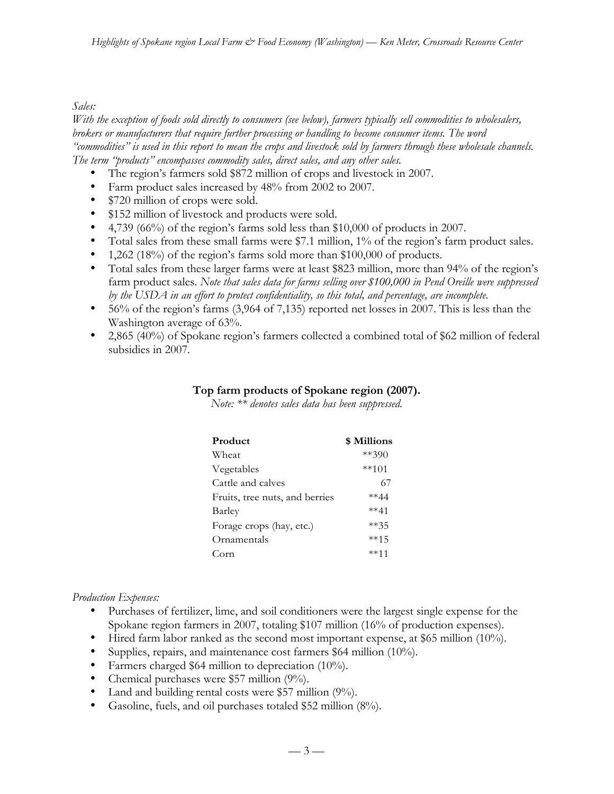*Sales:*

*With the exception of foods sold directly to consumers (see below), farmers typically sell commodities to wholesalers, brokers or manufacturers that require further processing or handling to become consumer items. The word "commodities" is used in this report to mean the crops and livestock sold by farmers through these wholesale channels. The term "products" encompasses commodity sales, direct sales, and any other sales.*

- The region's farmers sold \$872 million of crops and livestock in 2007.
- Farm product sales increased by 48% from 2002 to 2007.
- \$720 million of crops were sold.
- \$152 million of livestock and products were sold.
- 4,739 (66%) of the region's farms sold less than \$10,000 of products in 2007.
- Total sales from these small farms were \$7.1 million, 1% of the region's farm product sales.
- 1,262 (18%) of the region's farms sold more than \$100,000 of products.
- Total sales from these larger farms were at least \$823 million, more than 94% of the region's farm product sales. *Note that sales data for farms selling over \$100,000 in Pend Oreille were suppressed by the USDA in an effort to protect confidentiality, so this total, and percentage, are incomplete.*
- 56% of the region's farms (3,964 of 7,135) reported net losses in 2007. This is less than the Washington average of 63%.
- 2,865 (40%) of Spokane region's farmers collected a combined total of \$62 million of federal subsidies in 2007.

| Top farm products of Spokane region (2007). |  |  |  |  |  |  |
|---------------------------------------------|--|--|--|--|--|--|
|---------------------------------------------|--|--|--|--|--|--|

*Note: \*\* denotes sales data has been suppressed.*

| Product                        | \$ Millions |
|--------------------------------|-------------|
| Wheat                          | $**390$     |
| Vegetables                     | $***101$    |
| Cattle and calves              | 67          |
| Fruits, tree nuts, and berries | $**44$      |
| Barley                         | $**41$      |
| Forage crops (hay, etc.)       | $**35$      |
| Ornamentals                    | **15        |
| C <sub>orn</sub>               | $***11$     |

*Production Expenses:*

- Purchases of fertilizer, lime, and soil conditioners were the largest single expense for the Spokane region farmers in 2007, totaling \$107 million (16% of production expenses).
- Hired farm labor ranked as the second most important expense, at \$65 million (10%).
- Supplies, repairs, and maintenance cost farmers \$64 million (10%).
- Farmers charged \$64 million to depreciation (10%).
- Chemical purchases were \$57 million (9%).
- Land and building rental costs were \$57 million (9%).
- Gasoline, fuels, and oil purchases totaled \$52 million (8%).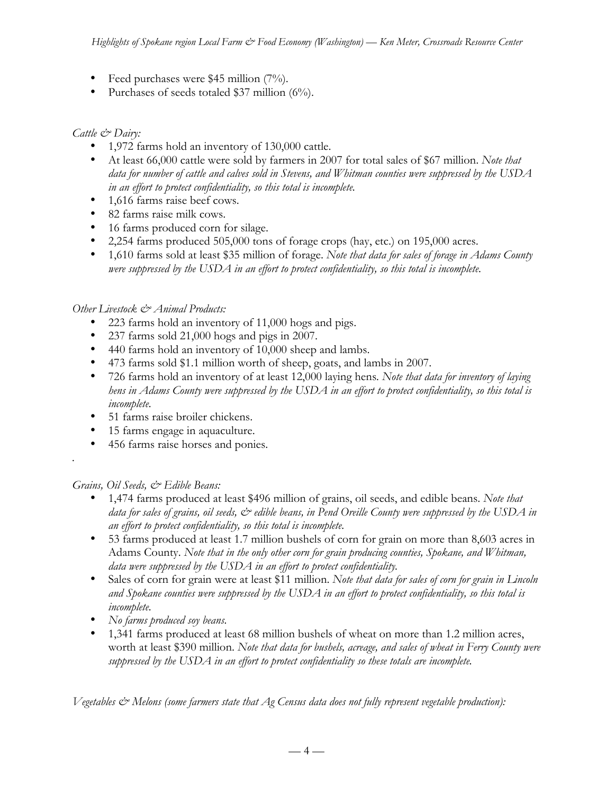- Feed purchases were  $$45$  million (7%).
- Purchases of seeds totaled \$37 million (6%).

## *Cattle & Dairy:*

- 1,972 farms hold an inventory of 130,000 cattle.
- At least 66,000 cattle were sold by farmers in 2007 for total sales of \$67 million. *Note that data for number of cattle and calves sold in Stevens, and Whitman counties were suppressed by the USDA in an effort to protect confidentiality, so this total is incomplete.*
- 1,616 farms raise beef cows.
- 82 farms raise milk cows.
- 16 farms produced corn for silage.
- 2,254 farms produced 505,000 tons of forage crops (hay, etc.) on 195,000 acres.
- 1,610 farms sold at least \$35 million of forage. *Note that data for sales of forage in Adams County were suppressed by the USDA in an effort to protect confidentiality, so this total is incomplete.*

## *Other Livestock & Animal Products:*

- 223 farms hold an inventory of 11,000 hogs and pigs.
- 237 farms sold 21,000 hogs and pigs in 2007.
- 440 farms hold an inventory of 10,000 sheep and lambs.
- 473 farms sold \$1.1 million worth of sheep, goats, and lambs in 2007.
- 726 farms hold an inventory of at least 12,000 laying hens*. Note that data for inventory of laying hens in Adams County were suppressed by the USDA in an effort to protect confidentiality, so this total is incomplete.*
- 51 farms raise broiler chickens.
- 15 farms engage in aquaculture.
- 456 farms raise horses and ponies.

## *Grains, Oil Seeds, & Edible Beans:*

*.*

- 1,474 farms produced at least \$496 million of grains, oil seeds, and edible beans. *Note that data for sales of grains, oil seeds, & edible beans, in Pend Oreille County were suppressed by the USDA in an effort to protect confidentiality, so this total is incomplete.*
- 53 farms produced at least 1.7 million bushels of corn for grain on more than 8,603 acres in Adams County. *Note that in the only other corn for grain producing counties, Spokane, and Whitman, data were suppressed by the USDA in an effort to protect confidentiality.*
- Sales of corn for grain were at least \$11 million. *Note that data for sales of corn for grain in Lincoln and Spokane counties were suppressed by the USDA in an effort to protect confidentiality, so this total is incomplete.*
- *No farms produced soy beans.*
- 1,341 farms produced at least 68 million bushels of wheat on more than 1.2 million acres, worth at least \$390 million. *Note that data for bushels, acreage, and sales of wheat in Ferry County were suppressed by the USDA in an effort to protect confidentiality so these totals are incomplete.*

*Vegetables & Melons (some farmers state that Ag Census data does not fully represent vegetable production):*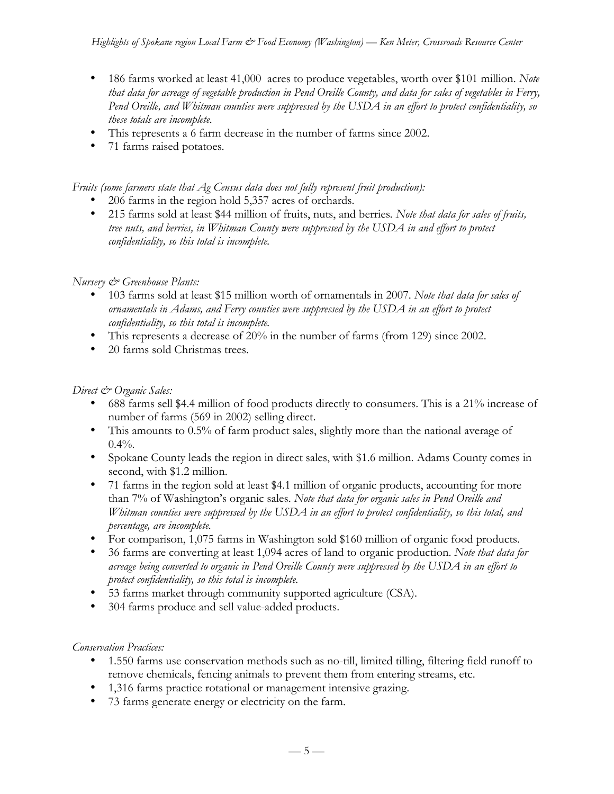- 186 farms worked at least 41,000 acres to produce vegetables, worth over \$101 million. *Note that data for acreage of vegetable production in Pend Oreille County, and data for sales of vegetables in Ferry, Pend Oreille, and Whitman counties were suppressed by the USDA in an effort to protect confidentiality, so these totals are incomplete.*
- This represents a 6 farm decrease in the number of farms since 2002.
- 71 farms raised potatoes*.*

*Fruits (some farmers state that Ag Census data does not fully represent fruit production):*

- 206 farms in the region hold 5,357 acres of orchards.
- 215 farms sold at least \$44 million of fruits, nuts, and berries*. Note that data for sales of fruits, tree nuts, and berries, in Whitman County were suppressed by the USDA in and effort to protect confidentiality, so this total is incomplete.*

## *Nursery & Greenhouse Plants:*

- 103 farms sold at least \$15 million worth of ornamentals in 2007. *Note that data for sales of ornamentals in Adams, and Ferry counties were suppressed by the USDA in an effort to protect confidentiality, so this total is incomplete.*
- This represents a decrease of 20% in the number of farms (from 129) since 2002.
- 20 farms sold Christmas trees.

## *Direct & Organic Sales:*

- 688 farms sell \$4.4 million of food products directly to consumers. This is a 21% increase of number of farms (569 in 2002) selling direct.
- This amounts to 0.5% of farm product sales, slightly more than the national average of  $0.4\%$ .
- Spokane County leads the region in direct sales, with \$1.6 million. Adams County comes in second, with \$1.2 million.
- 71 farms in the region sold at least \$4.1 million of organic products, accounting for more than 7% of Washington's organic sales. *Note that data for organic sales in Pend Oreille and Whitman counties were suppressed by the USDA in an effort to protect confidentiality, so this total, and percentage, are incomplete.*
- For comparison, 1,075 farms in Washington sold \$160 million of organic food products.
- 36 farms are converting at least 1,094 acres of land to organic production. *Note that data for acreage being converted to organic in Pend Oreille County were suppressed by the USDA in an effort to protect confidentiality, so this total is incomplete.*
- 53 farms market through community supported agriculture (CSA).
- 304 farms produce and sell value-added products.

## *Conservation Practices:*

- 1.550 farms use conservation methods such as no-till, limited tilling, filtering field runoff to remove chemicals, fencing animals to prevent them from entering streams, etc.
- 1,316 farms practice rotational or management intensive grazing.
- 73 farms generate energy or electricity on the farm.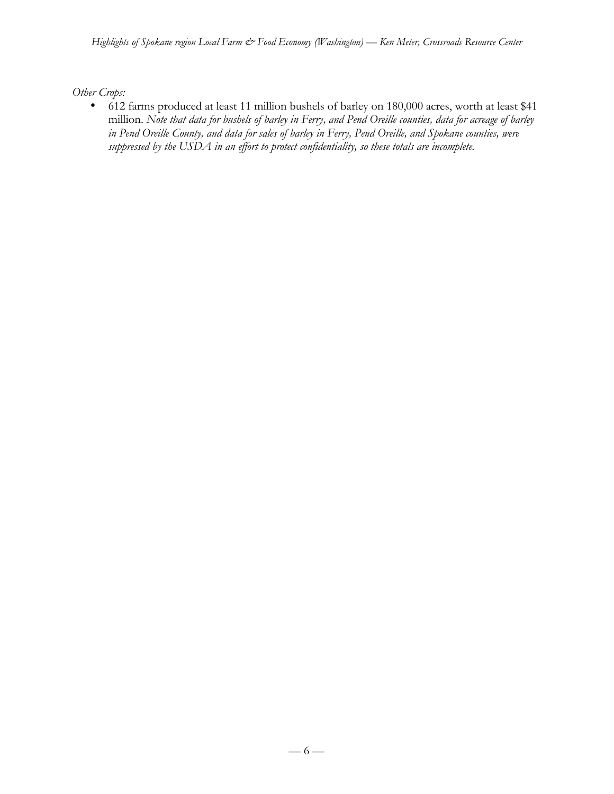*Other Crops:*

• 612 farms produced at least 11 million bushels of barley on 180,000 acres, worth at least \$41 million. *Note that data for bushels of barley in Ferry, and Pend Oreille counties, data for acreage of barley in Pend Oreille County, and data for sales of barley in Ferry, Pend Oreille, and Spokane counties, were suppressed by the USDA in an effort to protect confidentiality, so these totals are incomplete.*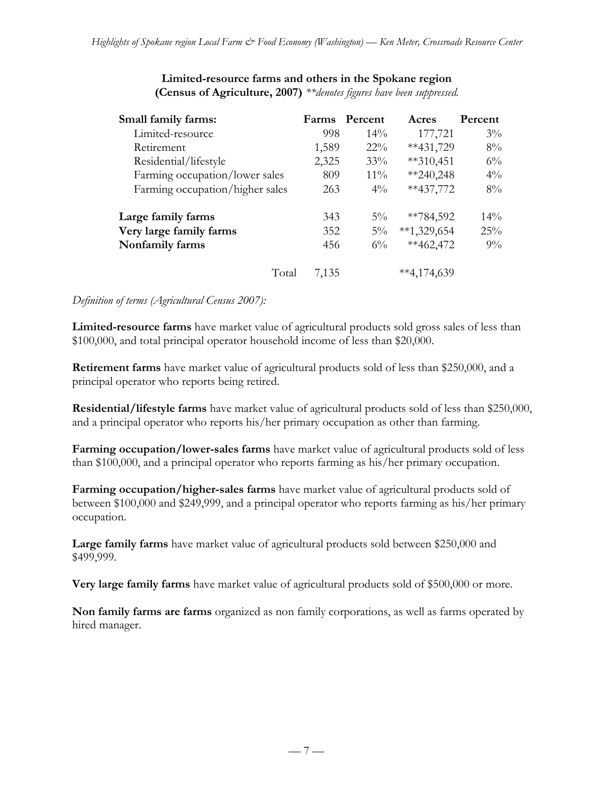| Small family farms:             | <b>Farms</b> | Percent | Acres             | Percent |
|---------------------------------|--------------|---------|-------------------|---------|
| Limited-resource                | 998          | $14\%$  | 177,721           | $3\%$   |
| Retirement                      | 1,589        | $22\%$  | $**431,729$       | $8\%$   |
| Residential/lifestyle           | 2,325        | 33%     | $**310,451$       | $6\%$   |
| Farming occupation/lower sales  | 809          | $11\%$  | $*240,248$        | $4\%$   |
| Farming occupation/higher sales | 263          | $4\%$   | $**437,772$       | $8\%$   |
| Large family farms              | 343          | $5\%$   | **784,592         | $14\%$  |
| Very large family farms         | 352          | $5\%$   | $**1,329,654$     | 25%     |
| Nonfamily farms                 | 456          | $6\%$   | $**462,472$       | $9\%$   |
| Total                           | 7,135        |         | $*$ $*$ 4,174,639 |         |

#### **Limited-resource farms and others in the Spokane region (Census of Agriculture, 2007)** *\*\*denotes figures have been suppressed.*

### *Definition of terms (Agricultural Census 2007):*

**Limited-resource farms** have market value of agricultural products sold gross sales of less than \$100,000, and total principal operator household income of less than \$20,000.

**Retirement farms** have market value of agricultural products sold of less than \$250,000, and a principal operator who reports being retired.

**Residential/lifestyle farms** have market value of agricultural products sold of less than \$250,000, and a principal operator who reports his/her primary occupation as other than farming.

**Farming occupation/lower-sales farms** have market value of agricultural products sold of less than \$100,000, and a principal operator who reports farming as his/her primary occupation.

**Farming occupation/higher-sales farms** have market value of agricultural products sold of between \$100,000 and \$249,999, and a principal operator who reports farming as his/her primary occupation.

**Large family farms** have market value of agricultural products sold between \$250,000 and \$499,999.

**Very large family farms** have market value of agricultural products sold of \$500,000 or more.

**Non family farms are farms** organized as non family corporations, as well as farms operated by hired manager.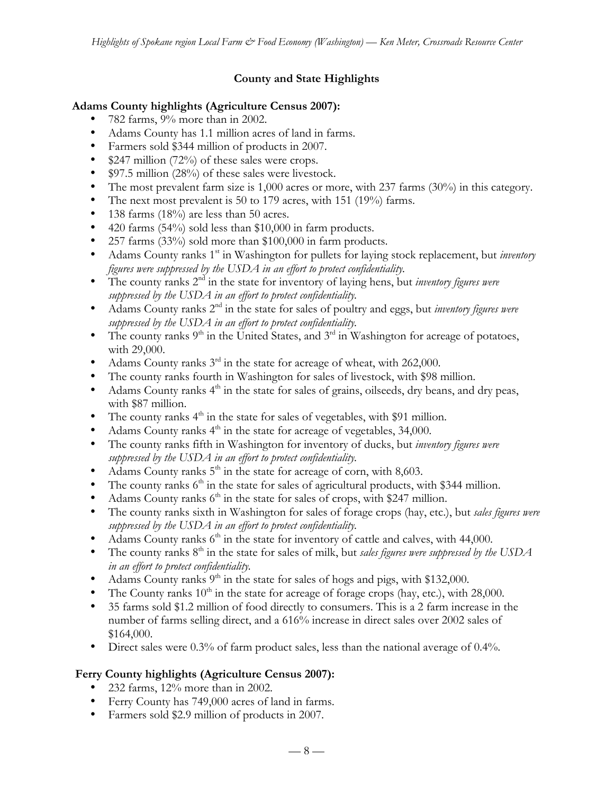# **County and State Highlights**

## **Adams County highlights (Agriculture Census 2007):**

- 782 farms, 9% more than in 2002.
- Adams County has 1.1 million acres of land in farms.
- Farmers sold \$344 million of products in 2007.
- \$247 million (72%) of these sales were crops.
- \$97.5 million (28%) of these sales were livestock.
- The most prevalent farm size is 1,000 acres or more, with 237 farms (30%) in this category.
- The next most prevalent is 50 to 179 acres, with 151 (19%) farms.
- 138 farms (18%) are less than 50 acres.
- 420 farms (54%) sold less than \$10,000 in farm products.
- 257 farms (33%) sold more than \$100,000 in farm products.
- Adams County ranks 1<sup>st</sup> in Washington for pullets for laying stock replacement, but *inventory figures were suppressed by the USDA in an effort to protect confidentiality.*
- The county ranks 2nd in the state for inventory of laying hens, but *inventory figures were suppressed by the USDA in an effort to protect confidentiality.*
- Adams County ranks 2nd in the state for sales of poultry and eggs, but *inventory figures were suppressed by the USDA in an effort to protect confidentiality.*
- The county ranks  $9<sup>th</sup>$  in the United States, and  $3<sup>rd</sup>$  in Washington for acreage of potatoes, with 29,000.
- Adams County ranks 3<sup>rd</sup> in the state for acreage of wheat, with 262,000.
- The county ranks fourth in Washington for sales of livestock, with \$98 million.
- Adams County ranks  $4<sup>th</sup>$  in the state for sales of grains, oilseeds, dry beans, and dry peas, with \$87 million.
- The county ranks  $4<sup>th</sup>$  in the state for sales of vegetables, with \$91 million.
- Adams County ranks  $4<sup>th</sup>$  in the state for acreage of vegetables, 34,000.
- The county ranks fifth in Washington for inventory of ducks, but *inventory figures were suppressed by the USDA in an effort to protect confidentiality.*
- Adams County ranks  $5<sup>th</sup>$  in the state for acreage of corn, with 8,603.
- The county ranks  $6<sup>th</sup>$  in the state for sales of agricultural products, with \$344 million.
- Adams County ranks  $6<sup>th</sup>$  in the state for sales of crops, with \$247 million.
- The county ranks sixth in Washington for sales of forage crops (hay, etc.), but *sales figures were suppressed by the USDA in an effort to protect confidentiality.*
- Adams County ranks  $6<sup>th</sup>$  in the state for inventory of cattle and calves, with 44,000.
- The county ranks  $8<sup>th</sup>$  in the state for sales of milk, but *sales figures were suppressed by the USDA in an effort to protect confidentiality.*
- Adams County ranks  $9<sup>th</sup>$  in the state for sales of hogs and pigs, with \$132,000.
- The County ranks  $10<sup>th</sup>$  in the state for acreage of forage crops (hay, etc.), with 28,000.
- 35 farms sold \$1.2 million of food directly to consumers. This is a 2 farm increase in the number of farms selling direct, and a 616% increase in direct sales over 2002 sales of \$164,000.
- Direct sales were 0.3% of farm product sales, less than the national average of 0.4%.

# **Ferry County highlights (Agriculture Census 2007):**

- 232 farms, 12% more than in 2002.
- Ferry County has 749,000 acres of land in farms.
- Farmers sold \$2.9 million of products in 2007.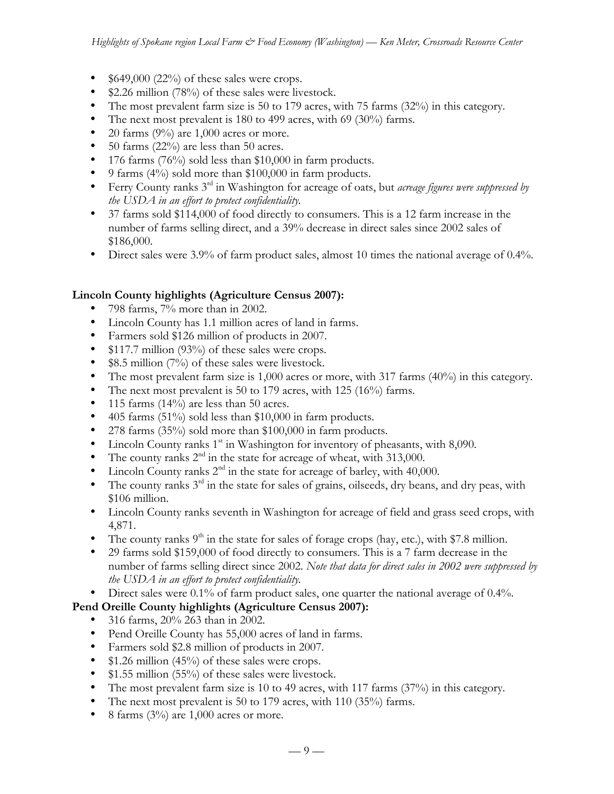- $$649,000 (22%)$  of these sales were crops.
- \$2.26 million (78%) of these sales were livestock.
- The most prevalent farm size is 50 to 179 acres, with 75 farms (32%) in this category.
- The next most prevalent is 180 to 499 acres, with 69 (30%) farms.
- 20 farms  $(9\%)$  are 1,000 acres or more.
- 50 farms  $(22\%)$  are less than 50 acres.
- 176 farms (76%) sold less than \$10,000 in farm products.
- 9 farms (4%) sold more than \$100,000 in farm products.
- Ferry County ranks 3rd in Washington for acreage of oats, but *acreage figures were suppressed by the USDA in an effort to protect confidentiality.*
- 37 farms sold \$114,000 of food directly to consumers. This is a 12 farm increase in the number of farms selling direct, and a 39% decrease in direct sales since 2002 sales of \$186,000.
- Direct sales were 3.9% of farm product sales, almost 10 times the national average of 0.4%.

## **Lincoln County highlights (Agriculture Census 2007):**

- 798 farms, 7% more than in 2002.
- Lincoln County has 1.1 million acres of land in farms.
- Farmers sold \$126 million of products in 2007.
- \$117.7 million (93%) of these sales were crops.
- \$8.5 million (7%) of these sales were livestock.
- The most prevalent farm size is 1,000 acres or more, with 317 farms (40%) in this category.
- The next most prevalent is 50 to 179 acres, with 125 (16%) farms.
- 115 farms  $(14\%)$  are less than 50 acres.
- 405 farms (51%) sold less than \$10,000 in farm products.
- 278 farms (35%) sold more than \$100,000 in farm products.
- Lincoln County ranks  $1<sup>st</sup>$  in Washington for inventory of pheasants, with 8,090.
- The county ranks  $2<sup>nd</sup>$  in the state for acreage of wheat, with 313,000.
- Lincoln County ranks  $2<sup>nd</sup>$  in the state for acreage of barley, with 40,000.
- The county ranks  $3<sup>rd</sup>$  in the state for sales of grains, oilseeds, dry beans, and dry peas, with \$106 million.
- Lincoln County ranks seventh in Washington for acreage of field and grass seed crops, with 4,871.
- The county ranks  $9<sup>th</sup>$  in the state for sales of forage crops (hay, etc.), with \$7.8 million.
- 29 farms sold \$159,000 of food directly to consumers. This is a 7 farm decrease in the number of farms selling direct since 2002. *Note that data for direct sales in 2002 were suppressed by the USDA in an effort to protect confidentiality.*
- Direct sales were 0.1% of farm product sales, one quarter the national average of 0.4%.

# **Pend Oreille County highlights (Agriculture Census 2007):**

- 316 farms, 20% 263 than in 2002.
- Pend Oreille County has 55,000 acres of land in farms.
- Farmers sold \$2.8 million of products in 2007.
- \$1.26 million (45%) of these sales were crops.
- \$1.55 million (55%) of these sales were livestock.
- The most prevalent farm size is 10 to 49 acres, with 117 farms (37%) in this category.
- The next most prevalent is 50 to 179 acres, with 110 (35%) farms.
- 8 farms  $(3\%)$  are 1,000 acres or more.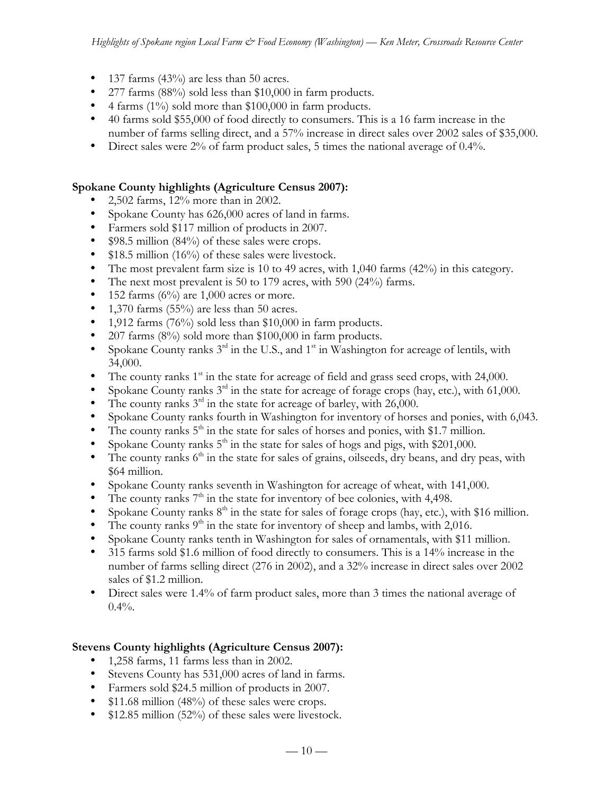- 137 farms  $(43%)$  are less than 50 acres.
- 277 farms (88%) sold less than \$10,000 in farm products.
- 4 farms (1%) sold more than \$100,000 in farm products.
- 40 farms sold \$55,000 of food directly to consumers. This is a 16 farm increase in the number of farms selling direct, and a 57% increase in direct sales over 2002 sales of \$35,000.
- Direct sales were 2% of farm product sales, 5 times the national average of 0.4%.

## **Spokane County highlights (Agriculture Census 2007):**

- 2,502 farms, 12% more than in 2002.
- Spokane County has 626,000 acres of land in farms.
- Farmers sold \$117 million of products in 2007.
- \$98.5 million (84%) of these sales were crops.
- \$18.5 million (16%) of these sales were livestock.
- The most prevalent farm size is 10 to 49 acres, with 1,040 farms (42%) in this category.
- The next most prevalent is 50 to 179 acres, with 590 (24%) farms.
- 152 farms  $(6\%)$  are 1,000 acres or more.
- 1,370 farms  $(55\%)$  are less than 50 acres.
- 1,912 farms (76%) sold less than \$10,000 in farm products.
- 207 farms (8%) sold more than \$100,000 in farm products.
- Spokane County ranks  $3^{rd}$  in the U.S., and  $1^{st}$  in Washington for acreage of lentils, with 34,000.
- The county ranks  $1<sup>st</sup>$  in the state for acreage of field and grass seed crops, with 24,000.
- Spokane County ranks  $3<sup>rd</sup>$  in the state for acreage of forage crops (hay, etc.), with 61,000.
- The county ranks  $3<sup>rd</sup>$  in the state for acreage of barley, with 26,000.
- Spokane County ranks fourth in Washington for inventory of horses and ponies, with 6,043.
- The county ranks  $5<sup>th</sup>$  in the state for sales of horses and ponies, with \$1.7 million.
- Spokane County ranks  $5<sup>th</sup>$  in the state for sales of hogs and pigs, with \$201,000.
- The county ranks  $6<sup>th</sup>$  in the state for sales of grains, oilseeds, dry beans, and dry peas, with \$64 million.
- Spokane County ranks seventh in Washington for acreage of wheat, with 141,000.
- The county ranks  $7<sup>th</sup>$  in the state for inventory of bee colonies, with 4,498.
- Spokane County ranks  $8<sup>th</sup>$  in the state for sales of forage crops (hay, etc.), with \$16 million.
- The county ranks  $9<sup>th</sup>$  in the state for inventory of sheep and lambs, with 2,016.
- Spokane County ranks tenth in Washington for sales of ornamentals, with \$11 million.
- 315 farms sold \$1.6 million of food directly to consumers. This is a 14% increase in the number of farms selling direct (276 in 2002), and a 32% increase in direct sales over 2002 sales of \$1.2 million.
- Direct sales were 1.4% of farm product sales, more than 3 times the national average of  $0.4\%$ .

# **Stevens County highlights (Agriculture Census 2007):**

- 1,258 farms, 11 farms less than in 2002.
- Stevens County has 531,000 acres of land in farms.
- Farmers sold \$24.5 million of products in 2007.
- \$11.68 million (48%) of these sales were crops.
- \$12.85 million (52%) of these sales were livestock.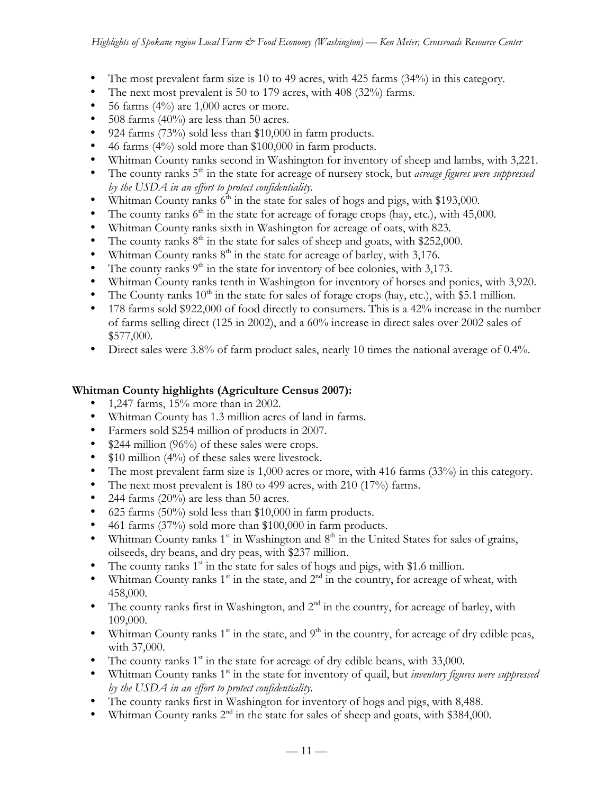- The most prevalent farm size is 10 to 49 acres, with 425 farms (34%) in this category.
- The next most prevalent is 50 to 179 acres, with 408 (32%) farms.
- 56 farms  $(4\%)$  are 1,000 acres or more.
- 508 farms (40%) are less than 50 acres.
- 924 farms (73%) sold less than \$10,000 in farm products.
- 46 farms (4%) sold more than \$100,000 in farm products.
- Whitman County ranks second in Washington for inventory of sheep and lambs, with 3,221.
- The county ranks 5<sup>th</sup> in the state for acreage of nursery stock, but *acreage figures were suppressed by the USDA in an effort to protect confidentiality.*
- Whitman County ranks  $6<sup>th</sup>$  in the state for sales of hogs and pigs, with \$193,000.
- The county ranks  $6<sup>th</sup>$  in the state for acreage of forage crops (hay, etc.), with 45,000.
- Whitman County ranks sixth in Washington for acreage of oats, with 823.
- The county ranks  $8<sup>th</sup>$  in the state for sales of sheep and goats, with \$252,000.
- Whitman County ranks  $8<sup>th</sup>$  in the state for acreage of barley, with 3,176.
- The county ranks  $9<sup>th</sup>$  in the state for inventory of bee colonies, with 3,173.
- Whitman County ranks tenth in Washington for inventory of horses and ponies, with 3,920.
- The County ranks  $10^{th}$  in the state for sales of forage crops (hay, etc.), with \$5.1 million.
- 178 farms sold \$922,000 of food directly to consumers. This is a 42% increase in the number of farms selling direct (125 in 2002), and a 60% increase in direct sales over 2002 sales of \$577,000.
- Direct sales were 3.8% of farm product sales, nearly 10 times the national average of 0.4%.

# **Whitman County highlights (Agriculture Census 2007):**

- 1,247 farms,  $15%$  more than in 2002.
- Whitman County has 1.3 million acres of land in farms.
- Farmers sold \$254 million of products in 2007.
- $$244$  million (96%) of these sales were crops.
- $$10$  million (4%) of these sales were livestock.
- The most prevalent farm size is 1,000 acres or more, with 416 farms (33%) in this category.
- The next most prevalent is 180 to 499 acres, with 210 (17%) farms.
- 244 farms (20%) are less than 50 acres.
- 625 farms (50%) sold less than \$10,000 in farm products.
- 461 farms (37%) sold more than \$100,000 in farm products.
- Whitman County ranks  $1<sup>st</sup>$  in Washington and  $8<sup>th</sup>$  in the United States for sales of grains, oilseeds, dry beans, and dry peas, with \$237 million.
- The county ranks  $1<sup>st</sup>$  in the state for sales of hogs and pigs, with \$1.6 million.
- Whitman County ranks  $1<sup>st</sup>$  in the state, and  $2<sup>nd</sup>$  in the country, for acreage of wheat, with 458,000.
- The county ranks first in Washington, and  $2<sup>nd</sup>$  in the country, for acreage of barley, with 109,000.
- Whitman County ranks  $1^{st}$  in the state, and  $9^{th}$  in the country, for acreage of dry edible peas, with 37,000.
- The county ranks  $1<sup>st</sup>$  in the state for acreage of dry edible beans, with 33,000.
- Whitman County ranks 1<sup>st</sup> in the state for inventory of quail, but *inventory figures were suppressed by the USDA in an effort to protect confidentiality.*
- The county ranks first in Washington for inventory of hogs and pigs, with 8,488.
- Whitman County ranks  $2<sup>nd</sup>$  in the state for sales of sheep and goats, with \$384,000.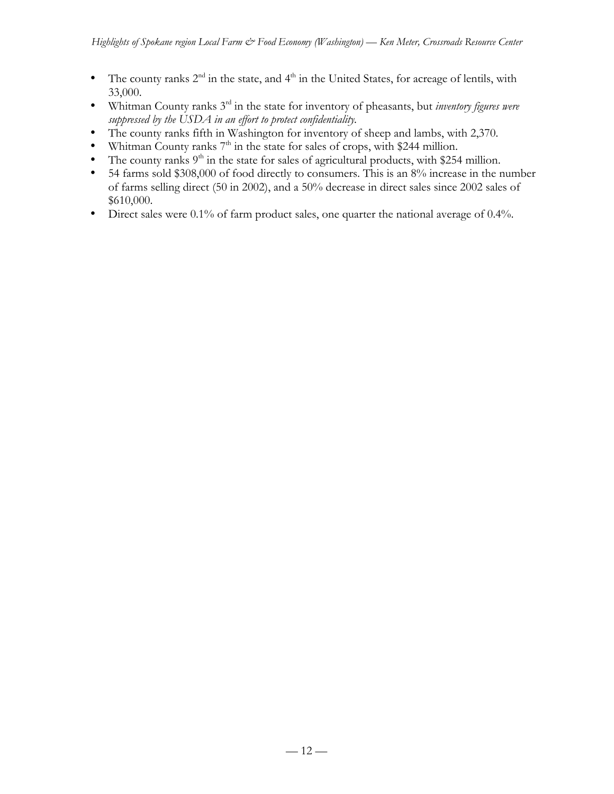- The county ranks  $2^{nd}$  in the state, and  $4^{th}$  in the United States, for acreage of lentils, with 33,000.
- Whitman County ranks 3rd in the state for inventory of pheasants, but *inventory figures were suppressed by the USDA in an effort to protect confidentiality.*
- The county ranks fifth in Washington for inventory of sheep and lambs, with 2,370.
- Whitman County ranks  $7<sup>th</sup>$  in the state for sales of crops, with \$244 million.
- The county ranks  $9<sup>th</sup>$  in the state for sales of agricultural products, with \$254 million.
- 54 farms sold \$308,000 of food directly to consumers. This is an 8% increase in the number of farms selling direct (50 in 2002), and a 50% decrease in direct sales since 2002 sales of \$610,000.
- Direct sales were 0.1% of farm product sales, one quarter the national average of 0.4%.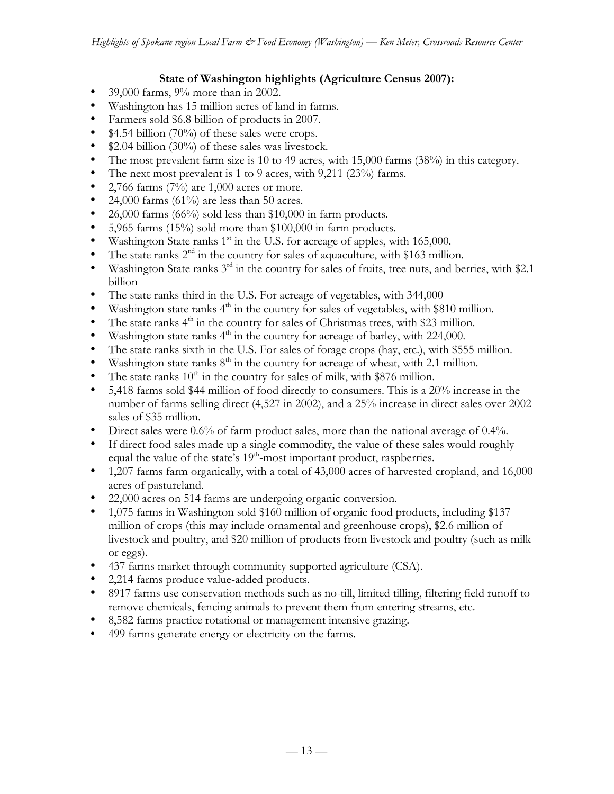## **State of Washington highlights (Agriculture Census 2007):**

- 39,000 farms, 9% more than in 2002.
- Washington has 15 million acres of land in farms.
- Farmers sold \$6.8 billion of products in 2007.
- \$4.54 billion (70%) of these sales were crops.
- \$2.04 billion (30%) of these sales was livestock.
- The most prevalent farm size is 10 to 49 acres, with 15,000 farms (38%) in this category.
- The next most prevalent is 1 to 9 acres, with 9,211 (23%) farms.
- 2,766 farms  $(7%)$  are 1,000 acres or more.
- 24,000 farms  $(61\%)$  are less than 50 acres.
- 26,000 farms (66%) sold less than \$10,000 in farm products.
- 5,965 farms (15%) sold more than \$100,000 in farm products.
- Washington State ranks  $1<sup>st</sup>$  in the U.S. for acreage of apples, with 165,000.
- The state ranks  $2<sup>nd</sup>$  in the country for sales of aquaculture, with \$163 million.
- Washington State ranks  $3^{rd}$  in the country for sales of fruits, tree nuts, and berries, with \$2.1 billion
- The state ranks third in the U.S. For acreage of vegetables, with 344,000
- Washington state ranks  $4<sup>th</sup>$  in the country for sales of vegetables, with \$810 million.
- The state ranks  $4<sup>th</sup>$  in the country for sales of Christmas trees, with \$23 million.
- Washington state ranks  $4<sup>th</sup>$  in the country for acreage of barley, with 224,000.
- The state ranks sixth in the U.S. For sales of forage crops (hay, etc.), with \$555 million.
- Washington state ranks  $8<sup>th</sup>$  in the country for acreage of wheat, with 2.1 million.
- The state ranks  $10<sup>th</sup>$  in the country for sales of milk, with \$876 million.
- 5,418 farms sold \$44 million of food directly to consumers. This is a 20% increase in the number of farms selling direct (4,527 in 2002), and a 25% increase in direct sales over 2002 sales of \$35 million.
- Direct sales were 0.6% of farm product sales, more than the national average of 0.4%.
- If direct food sales made up a single commodity, the value of these sales would roughly equal the value of the state's  $19<sup>th</sup>$ -most important product, raspberries.
- 1,207 farms farm organically, with a total of 43,000 acres of harvested cropland, and 16,000 acres of pastureland.
- 22,000 acres on 514 farms are undergoing organic conversion.
- 1,075 farms in Washington sold \$160 million of organic food products, including \$137 million of crops (this may include ornamental and greenhouse crops), \$2.6 million of livestock and poultry, and \$20 million of products from livestock and poultry (such as milk or eggs).
- 437 farms market through community supported agriculture (CSA).
- 2,214 farms produce value-added products.
- 8917 farms use conservation methods such as no-till, limited tilling, filtering field runoff to remove chemicals, fencing animals to prevent them from entering streams, etc.
- 8,582 farms practice rotational or management intensive grazing.
- 499 farms generate energy or electricity on the farms.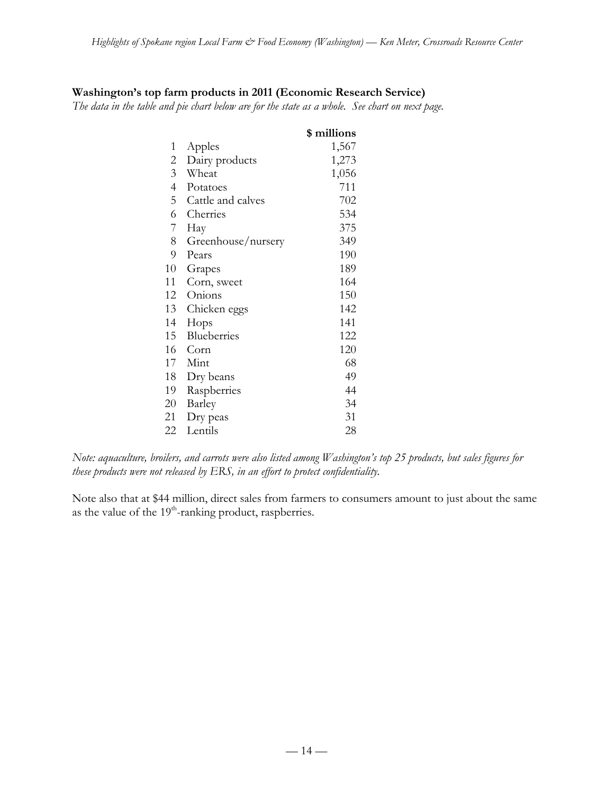## **Washington's top farm products in 2011 (Economic Research Service)**

*The data in the table and pie chart below are for the state as a whole. See chart on next page.*

|                |                    | \$ millions |
|----------------|--------------------|-------------|
| 1              | Apples             | 1,567       |
| $\overline{2}$ | Dairy products     | 1,273       |
| 3 <sup>7</sup> | Wheat              | 1,056       |
| $\overline{4}$ | Potatoes           | 711         |
| 5              | Cattle and calves  | 702         |
| 6              | Cherries           | 534         |
| 7 <sup>7</sup> | Hay                | 375         |
| 8              | Greenhouse/nursery | 349         |
| 9              | Pears              | 190         |
| 10             | Grapes             | 189         |
| 11             | Corn, sweet        | 164         |
| 12             | Onions             | 150         |
| 13             | Chicken eggs       | 142         |
| 14             | Hops               | 141         |
| 15             | Blueberries        | 122         |
| 16             | Corn               | 120         |
| 17             | Mint               | 68          |
| 18             | Dry beans          | 49          |
| 19             | Raspberries        | 44          |
| 20             | Barley             | 34          |
| 21             | Dry peas           | 31          |
| 22             | Lentils            | 28          |

*Note: aquaculture, broilers, and carrots were also listed among Washington's top 25 products, but sales figures for these products were not released by ERS, in an effort to protect confidentiality.*

Note also that at \$44 million, direct sales from farmers to consumers amount to just about the same as the value of the 19<sup>th</sup>-ranking product, raspberries.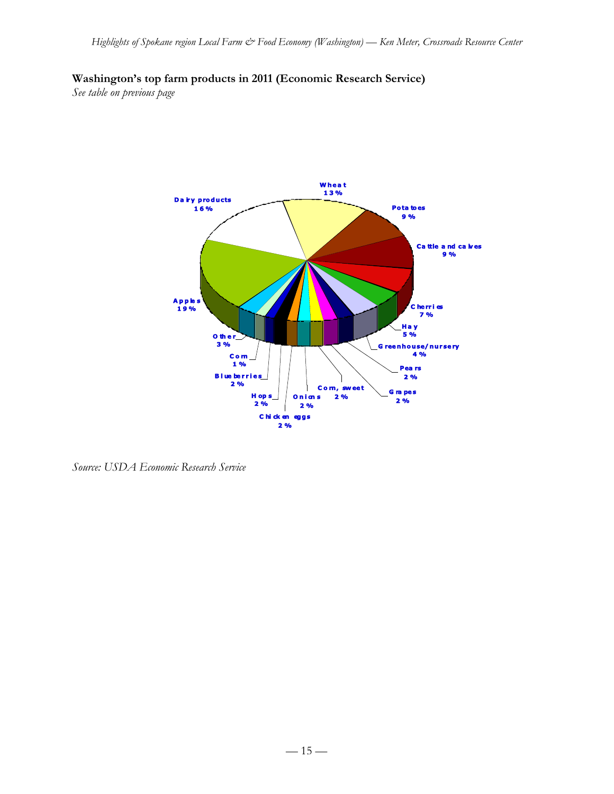# **Washington's top farm products in 2011 (Economic Research Service)**

*See table on previous page*



*Source: USDA Economic Research Service*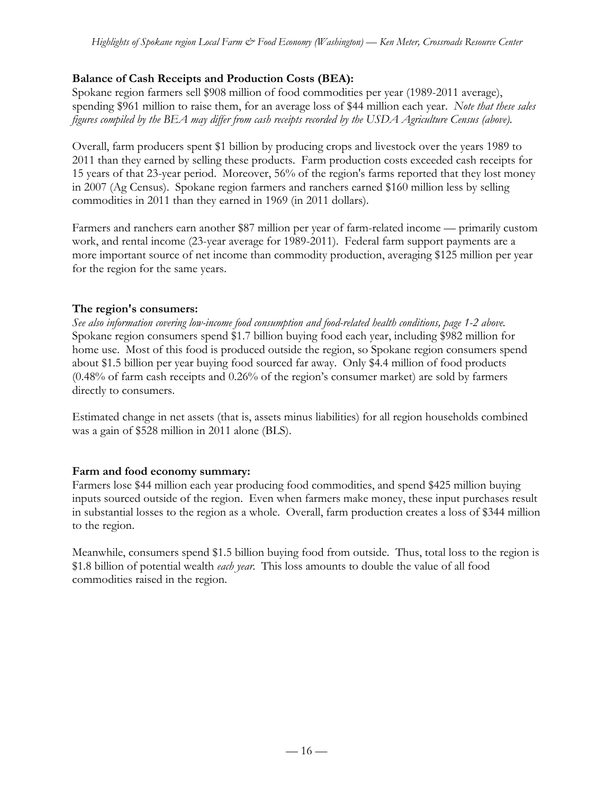# **Balance of Cash Receipts and Production Costs (BEA):**

Spokane region farmers sell \$908 million of food commodities per year (1989-2011 average), spending \$961 million to raise them, for an average loss of \$44 million each year. *Note that these sales figures compiled by the BEA may differ from cash receipts recorded by the USDA Agriculture Census (above).*

Overall, farm producers spent \$1 billion by producing crops and livestock over the years 1989 to 2011 than they earned by selling these products. Farm production costs exceeded cash receipts for 15 years of that 23-year period. Moreover, 56% of the region's farms reported that they lost money in 2007 (Ag Census). Spokane region farmers and ranchers earned \$160 million less by selling commodities in 2011 than they earned in 1969 (in 2011 dollars).

Farmers and ranchers earn another \$87 million per year of farm-related income — primarily custom work, and rental income (23-year average for 1989-2011). Federal farm support payments are a more important source of net income than commodity production, averaging \$125 million per year for the region for the same years.

# **The region's consumers:**

*See also information covering low-income food consumption and food-related health conditions, page 1-2 above.* Spokane region consumers spend \$1.7 billion buying food each year, including \$982 million for home use. Most of this food is produced outside the region, so Spokane region consumers spend about \$1.5 billion per year buying food sourced far away. Only \$4.4 million of food products (0.48% of farm cash receipts and 0.26% of the region's consumer market) are sold by farmers directly to consumers.

Estimated change in net assets (that is, assets minus liabilities) for all region households combined was a gain of \$528 million in 2011 alone (BLS).

# **Farm and food economy summary:**

Farmers lose \$44 million each year producing food commodities, and spend \$425 million buying inputs sourced outside of the region. Even when farmers make money, these input purchases result in substantial losses to the region as a whole. Overall, farm production creates a loss of \$344 million to the region.

Meanwhile, consumers spend \$1.5 billion buying food from outside. Thus, total loss to the region is \$1.8 billion of potential wealth *each year*. This loss amounts to double the value of all food commodities raised in the region.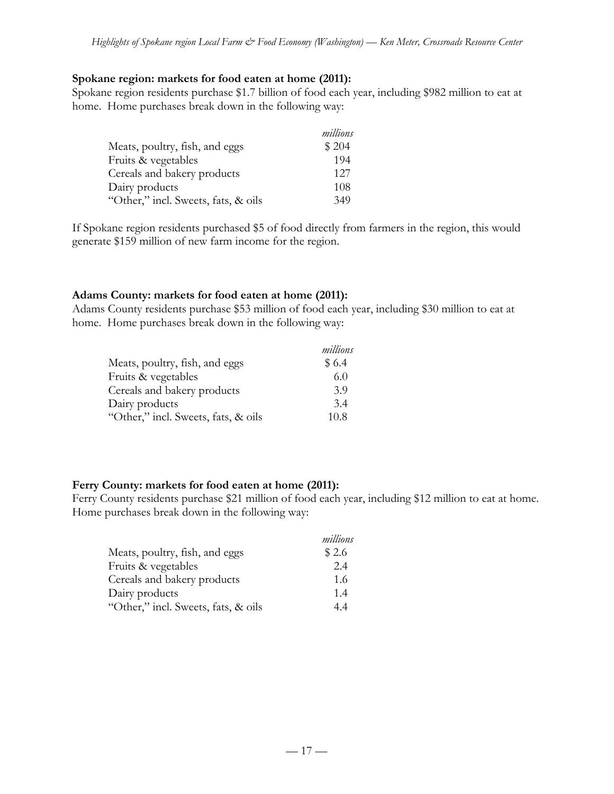### **Spokane region: markets for food eaten at home (2011):**

Spokane region residents purchase \$1.7 billion of food each year, including \$982 million to eat at home. Home purchases break down in the following way:

|                                     | millions |
|-------------------------------------|----------|
| Meats, poultry, fish, and eggs      | \$204    |
| Fruits & vegetables                 | 194      |
| Cereals and bakery products         | 12.7     |
| Dairy products                      | 108      |
| "Other," incl. Sweets, fats, & oils | 349      |

If Spokane region residents purchased \$5 of food directly from farmers in the region, this would generate \$159 million of new farm income for the region.

## **Adams County: markets for food eaten at home (2011):**

Adams County residents purchase \$53 million of food each year, including \$30 million to eat at home. Home purchases break down in the following way:

|                                     | millions |
|-------------------------------------|----------|
| Meats, poultry, fish, and eggs      | \$6.4    |
| Fruits & vegetables                 | 6.0      |
| Cereals and bakery products         | 3.9      |
| Dairy products                      | 3.4      |
| "Other," incl. Sweets, fats, & oils | 10.8     |

## **Ferry County: markets for food eaten at home (2011):**

Ferry County residents purchase \$21 million of food each year, including \$12 million to eat at home. Home purchases break down in the following way:

|                                     | millions |
|-------------------------------------|----------|
| Meats, poultry, fish, and eggs      | \$2.6    |
| Fruits & vegetables                 | 2.4      |
| Cereals and bakery products         | 1.6      |
| Dairy products                      | 1.4      |
| "Other," incl. Sweets, fats, & oils | 44       |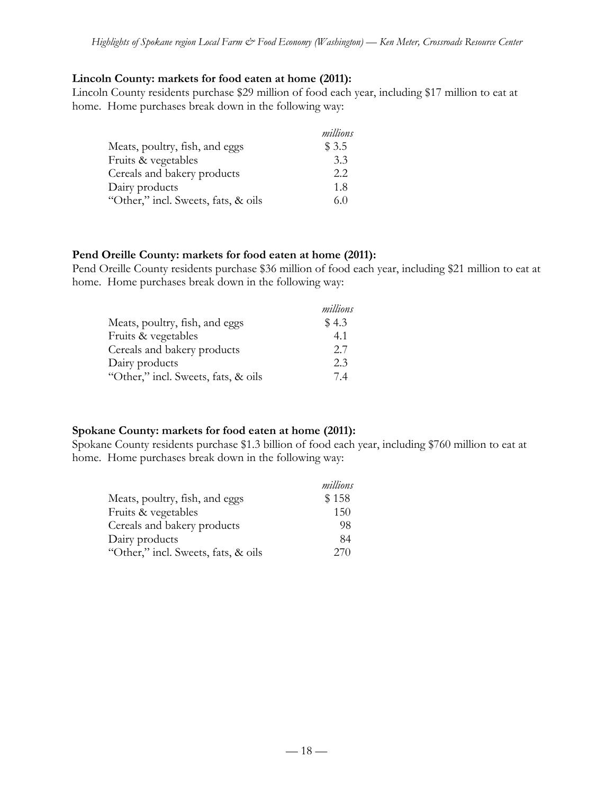### **Lincoln County: markets for food eaten at home (2011):**

Lincoln County residents purchase \$29 million of food each year, including \$17 million to eat at home. Home purchases break down in the following way:

|                                     | millions |
|-------------------------------------|----------|
| Meats, poultry, fish, and eggs      | \$ 3.5   |
| Fruits & vegetables                 | 3.3      |
| Cereals and bakery products         | 2.2      |
| Dairy products                      | 1.8      |
| "Other," incl. Sweets, fats, & oils | 6.0      |

### **Pend Oreille County: markets for food eaten at home (2011):**

Pend Oreille County residents purchase \$36 million of food each year, including \$21 million to eat at home. Home purchases break down in the following way:

|                                     | millions |
|-------------------------------------|----------|
| Meats, poultry, fish, and eggs      | \$4.3    |
| Fruits & vegetables                 | 4.1      |
| Cereals and bakery products         | 2.7      |
| Dairy products                      | 2.3      |
| "Other," incl. Sweets, fats, & oils | 74       |

## **Spokane County: markets for food eaten at home (2011):**

Spokane County residents purchase \$1.3 billion of food each year, including \$760 million to eat at home. Home purchases break down in the following way:

|                                     | millions |
|-------------------------------------|----------|
| Meats, poultry, fish, and eggs      | \$158    |
| Fruits & vegetables                 | 150      |
| Cereals and bakery products         | 98       |
| Dairy products                      | 84       |
| "Other," incl. Sweets, fats, & oils | 270      |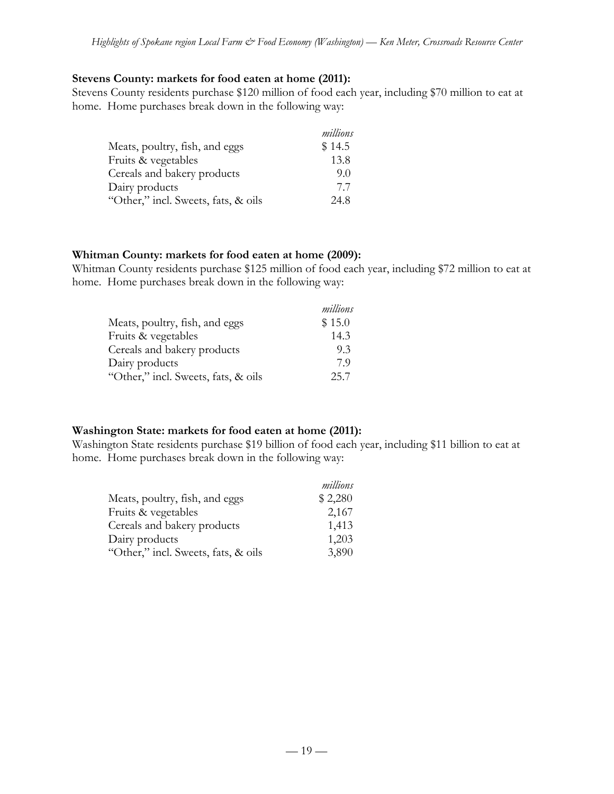### **Stevens County: markets for food eaten at home (2011):**

Stevens County residents purchase \$120 million of food each year, including \$70 million to eat at home. Home purchases break down in the following way:

|                                     | millions |
|-------------------------------------|----------|
| Meats, poultry, fish, and eggs      | \$14.5   |
| Fruits & vegetables                 | 13.8     |
| Cereals and bakery products         | 9.0      |
| Dairy products                      | 7.7      |
| "Other," incl. Sweets, fats, & oils | 24.8     |

### **Whitman County: markets for food eaten at home (2009):**

Whitman County residents purchase \$125 million of food each year, including \$72 million to eat at home. Home purchases break down in the following way:

|                                     | millions |
|-------------------------------------|----------|
| Meats, poultry, fish, and eggs      | \$15.0   |
| Fruits & vegetables                 | 14.3     |
| Cereals and bakery products         | 9.3      |
| Dairy products                      | 79       |
| "Other," incl. Sweets, fats, & oils | 25.7     |

## **Washington State: markets for food eaten at home (2011):**

Washington State residents purchase \$19 billion of food each year, including \$11 billion to eat at home. Home purchases break down in the following way:

|                                     | millions |
|-------------------------------------|----------|
| Meats, poultry, fish, and eggs      | \$2,280  |
| Fruits & vegetables                 | 2,167    |
| Cereals and bakery products         | 1,413    |
| Dairy products                      | 1,203    |
| "Other," incl. Sweets, fats, & oils | 3,890    |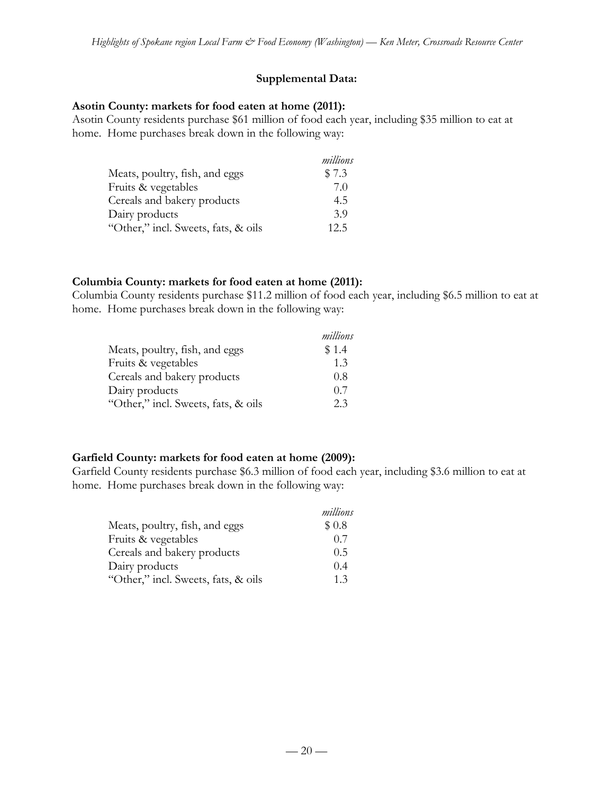# **Supplemental Data:**

## **Asotin County: markets for food eaten at home (2011):**

Asotin County residents purchase \$61 million of food each year, including \$35 million to eat at home. Home purchases break down in the following way:

|                                     | millions |
|-------------------------------------|----------|
| Meats, poultry, fish, and eggs      | \$7.3    |
| Fruits & vegetables                 | 7.0      |
| Cereals and bakery products         | 4.5      |
| Dairy products                      | 3.9      |
| "Other," incl. Sweets, fats, & oils | 12.5     |

## **Columbia County: markets for food eaten at home (2011):**

Columbia County residents purchase \$11.2 million of food each year, including \$6.5 million to eat at home. Home purchases break down in the following way:

|                                     | millions |
|-------------------------------------|----------|
| Meats, poultry, fish, and eggs      | \$1.4    |
| Fruits & vegetables                 | 1.3      |
| Cereals and bakery products         | 0.8      |
| Dairy products                      | 0.7      |
| "Other," incl. Sweets, fats, & oils | 2.3      |

# **Garfield County: markets for food eaten at home (2009):**

Garfield County residents purchase \$6.3 million of food each year, including \$3.6 million to eat at home. Home purchases break down in the following way:

|                                     | millions |
|-------------------------------------|----------|
| Meats, poultry, fish, and eggs      | \$0.8    |
| Fruits & vegetables                 | 0.7      |
| Cereals and bakery products         | 0.5      |
| Dairy products                      | 0.4      |
| "Other," incl. Sweets, fats, & oils | 1.3      |